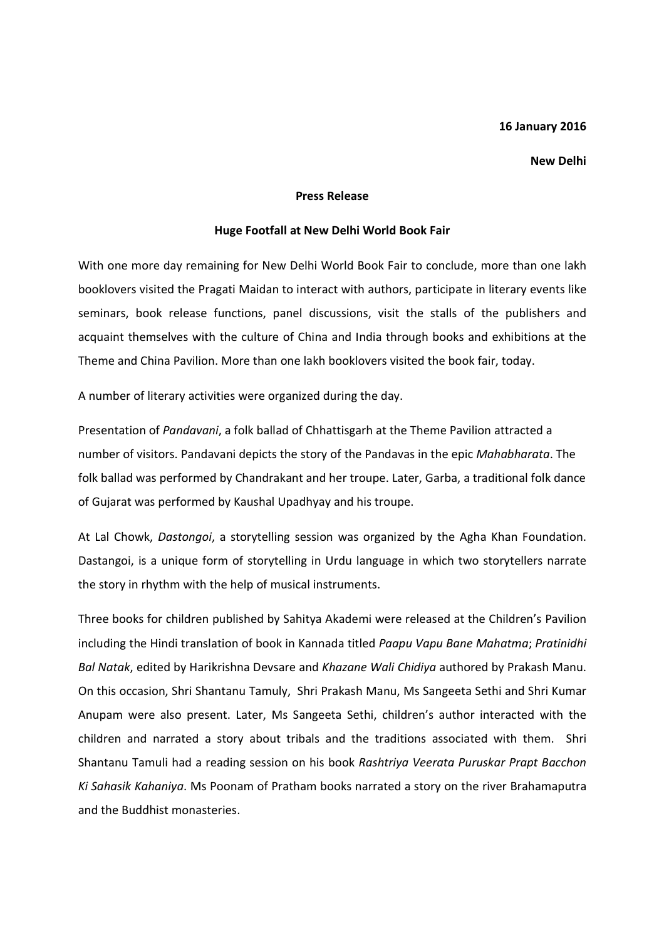## 16 January 2016

## New Delhi

## Press Release

## Huge Footfall at New Delhi World Book Fair

With one more day remaining for New Delhi World Book Fair to conclude, more than one lakh booklovers visited the Pragati Maidan to interact with authors, participate in literary events like seminars, book release functions, panel discussions, visit the stalls of the publishers and acquaint themselves with the culture of China and India through books and exhibitions at the Theme and China Pavilion. More than one lakh booklovers visited the book fair, today.

A number of literary activities were organized during the day.

Presentation of Pandavani, a folk ballad of Chhattisgarh at the Theme Pavilion attracted a number of visitors. Pandavani depicts the story of the Pandavas in the epic Mahabharata. The folk ballad was performed by Chandrakant and her troupe. Later, Garba, a traditional folk dance of Gujarat was performed by Kaushal Upadhyay and his troupe.

At Lal Chowk, Dastongoi, a storytelling session was organized by the Agha Khan Foundation. Dastangoi, is a unique form of storytelling in Urdu language in which two storytellers narrate the story in rhythm with the help of musical instruments.

Three books for children published by Sahitya Akademi were released at the Children's Pavilion including the Hindi translation of book in Kannada titled Paapu Vapu Bane Mahatma; Pratinidhi Bal Natak, edited by Harikrishna Devsare and Khazane Wali Chidiya authored by Prakash Manu. On this occasion, Shri Shantanu Tamuly, Shri Prakash Manu, Ms Sangeeta Sethi and Shri Kumar Anupam were also present. Later, Ms Sangeeta Sethi, children's author interacted with the children and narrated a story about tribals and the traditions associated with them. Shri Shantanu Tamuli had a reading session on his book Rashtriya Veerata Puruskar Prapt Bacchon Ki Sahasik Kahaniya. Ms Poonam of Pratham books narrated a story on the river Brahamaputra and the Buddhist monasteries.